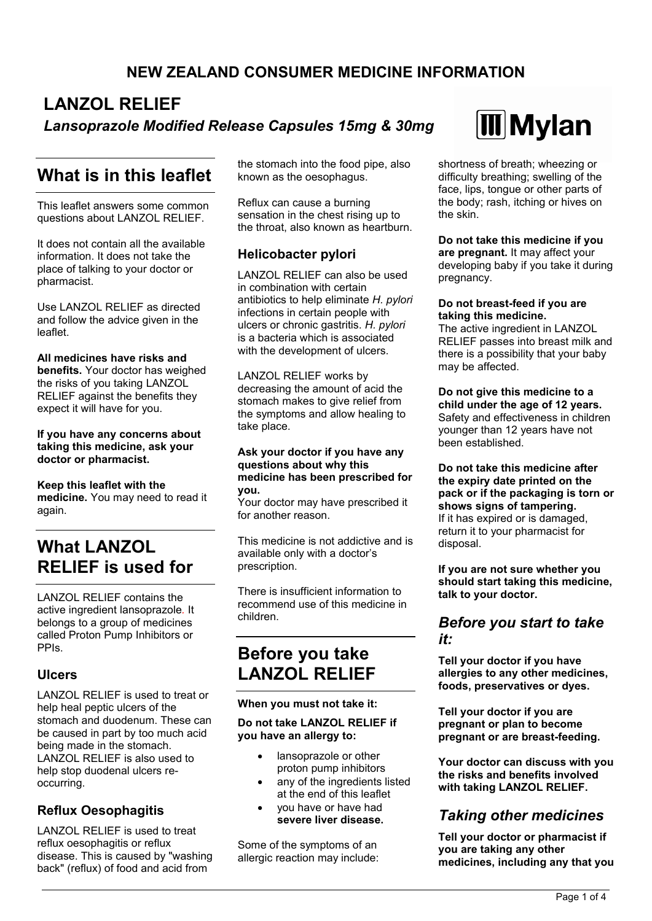## **NEW ZEALAND CONSUMER MEDICINE INFORMATION**

# **LANZOL RELIEF** *Lansoprazole Modified Release Capsules 15mg & 30mg*

# **What is in this leaflet**

This leaflet answers some common questions about LANZOL RELIEF.

It does not contain all the available information. It does not take the place of talking to your doctor or pharmacist.

Use LANZOL RELIEF as directed and follow the advice given in the leaflet.

**All medicines have risks and benefits.** Your doctor has weighed the risks of you taking LANZOL RELIEF against the benefits they expect it will have for you.

**If you have any concerns about taking this medicine, ask your doctor or pharmacist.**

**Keep this leaflet with the medicine.** You may need to read it again.

# **What LANZOL RELIEF is used for**

LANZOL RELIEF contains the active ingredient lansoprazole*.* It belongs to a group of medicines called Proton Pump Inhibitors or PPIs.

### **Ulcers**

LANZOL RELIEF is used to treat or help heal peptic ulcers of the stomach and duodenum. These can be caused in part by too much acid being made in the stomach. LANZOL RELIEF is also used to help stop duodenal ulcers reoccurring.

### **Reflux Oesophagitis**

LANZOL RELIEF is used to treat reflux oesophagitis or reflux disease. This is caused by "washing back" (reflux) of food and acid from

the stomach into the food pipe, also known as the oesophagus.

Reflux can cause a burning sensation in the chest rising up to the throat, also known as heartburn.

### **Helicobacter pylori**

LANZOL RELIEF can also be used in combination with certain antibiotics to help eliminate *H. pylori* infections in certain people with ulcers or chronic gastritis. *H. pylori* is a bacteria which is associated with the development of ulcers.

LANZOL RELIEF works by decreasing the amount of acid the stomach makes to give relief from the symptoms and allow healing to take place.

#### **Ask your doctor if you have any questions about why this medicine has been prescribed for you.**

Your doctor may have prescribed it for another reason.

This medicine is not addictive and is available only with a doctor's prescription.

There is insufficient information to recommend use of this medicine in children.

# **Before you take LANZOL RELIEF**

### **When you must not take it:**

### **Do not take LANZOL RELIEF if you have an allergy to:**

- lansoprazole or other proton pump inhibitors
- any of the ingredients listed at the end of this leaflet
- you have or have had **severe liver disease.**

Some of the symptoms of an allergic reaction may include:



shortness of breath; wheezing or difficulty breathing; swelling of the face, lips, tongue or other parts of the body; rash, itching or hives on the skin.

**Do not take this medicine if you are pregnant.** It may affect your developing baby if you take it during pregnancy.

#### **Do not breast-feed if you are taking this medicine.**

The active ingredient in LANZOL RELIEF passes into breast milk and there is a possibility that your baby may be affected.

### **Do not give this medicine to a child under the age of 12 years.**

Safety and effectiveness in children younger than 12 years have not been established.

**Do not take this medicine after the expiry date printed on the pack or if the packaging is torn or shows signs of tampering.** If it has expired or is damaged, return it to your pharmacist for disposal.

**If you are not sure whether you should start taking this medicine, talk to your doctor.**

### *Before you start to take it:*

**Tell your doctor if you have allergies to any other medicines, foods, preservatives or dyes.**

**Tell your doctor if you are pregnant or plan to become pregnant or are breast-feeding.**

**Your doctor can discuss with you the risks and benefits involved with taking LANZOL RELIEF.**

## *Taking other medicines*

**Tell your doctor or pharmacist if you are taking any other medicines, including any that you**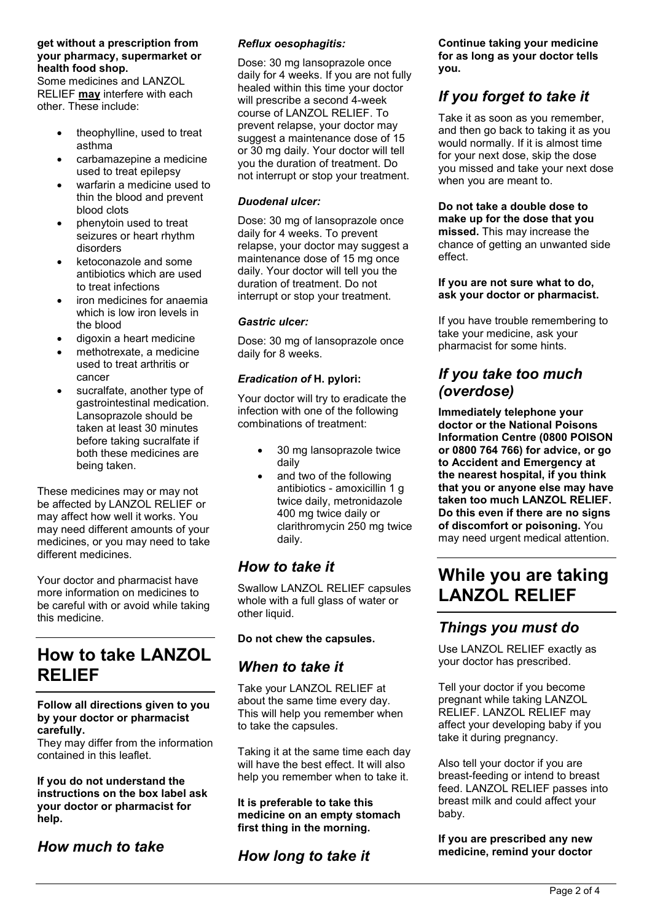#### **get without a prescription from your pharmacy, supermarket or health food shop.**

Some medicines and LANZOL RELIEF **may** interfere with each other. These include:

- theophylline, used to treat asthma
- carbamazepine a medicine used to treat epilepsy
- warfarin a medicine used to thin the blood and prevent blood clots
- phenytoin used to treat seizures or heart rhythm disorders
- ketoconazole and some antibiotics which are used to treat infections
- iron medicines for anaemia which is low iron levels in the blood
- digoxin a heart medicine
- methotrexate, a medicine used to treat arthritis or cancer
- sucralfate, another type of gastrointestinal medication. Lansoprazole should be taken at least 30 minutes before taking sucralfate if both these medicines are being taken.

These medicines may or may not be affected by LANZOL RELIEF or may affect how well it works. You may need different amounts of your medicines, or you may need to take different medicines.

Your doctor and pharmacist have more information on medicines to be careful with or avoid while taking this medicine.

# **How to take LANZOL RELIEF**

### **Follow all directions given to you by your doctor or pharmacist carefully.**

They may differ from the information contained in this leaflet.

**If you do not understand the instructions on the box label ask your doctor or pharmacist for help.**

## *How much to take*

### *Reflux oesophagitis:*

Dose: 30 mg lansoprazole once daily for 4 weeks. If you are not fully healed within this time your doctor will prescribe a second 4-week course of LANZOL RELIEF. To prevent relapse, your doctor may suggest a maintenance dose of 15 or 30 mg daily. Your doctor will tell you the duration of treatment. Do not interrupt or stop your treatment.

### *Duodenal ulcer:*

Dose: 30 mg of lansoprazole once daily for 4 weeks. To prevent relapse, your doctor may suggest a maintenance dose of 15 mg once daily. Your doctor will tell you the duration of treatment. Do not interrupt or stop your treatment.

### *Gastric ulcer:*

Dose: 30 mg of lansoprazole once daily for 8 weeks.

### *Eradication of* **H. pylori:**

Your doctor will try to eradicate the infection with one of the following combinations of treatment:

- 30 mg lansoprazole twice daily
- and two of the following antibiotics - amoxicillin 1 g twice daily, metronidazole 400 mg twice daily or clarithromycin 250 mg twice daily.

### *How to take it*

Swallow LANZOL RELIEF capsules whole with a full glass of water or other liquid.

### **Do not chew the capsules.**

### *When to take it*

Take your LANZOL RELIEF at about the same time every day. This will help you remember when to take the capsules.

Taking it at the same time each day will have the best effect. It will also help you remember when to take it.

**It is preferable to take this medicine on an empty stomach first thing in the morning.**

*How long to take it*

**Continue taking your medicine for as long as your doctor tells you.**

## *If you forget to take it*

Take it as soon as you remember, and then go back to taking it as you would normally. If it is almost time for your next dose, skip the dose you missed and take your next dose when you are meant to.

**Do not take a double dose to make up for the dose that you missed.** This may increase the chance of getting an unwanted side effect.

#### **If you are not sure what to do, ask your doctor or pharmacist.**

If you have trouble remembering to take your medicine, ask your pharmacist for some hints.

### *If you take too much (overdose)*

**Immediately telephone your doctor or the National Poisons Information Centre (0800 POISON or 0800 764 766) for advice, or go to Accident and Emergency at the nearest hospital, if you think that you or anyone else may have taken too much LANZOL RELIEF. Do this even if there are no signs of discomfort or poisoning.** You may need urgent medical attention.

# **While you are taking LANZOL RELIEF**

## *Things you must do*

Use LANZOL RELIEF exactly as your doctor has prescribed.

Tell your doctor if you become pregnant while taking LANZOL RELIEF. LANZOL RELIEF may affect your developing baby if you take it during pregnancy.

Also tell your doctor if you are breast-feeding or intend to breast feed. LANZOL RELIEF passes into breast milk and could affect your baby.

### **If you are prescribed any new medicine, remind your doctor**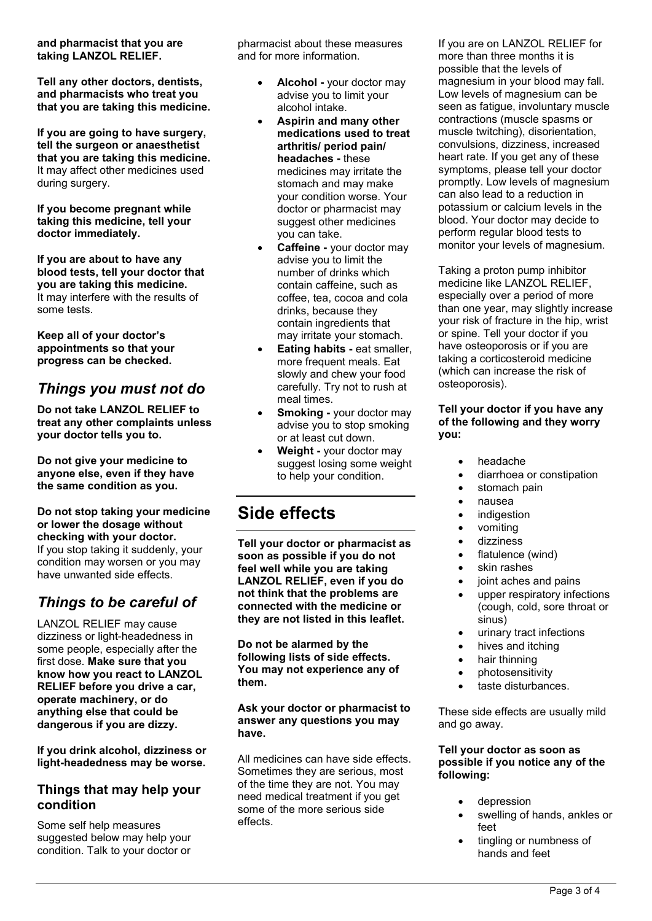#### **and pharmacist that you are taking LANZOL RELIEF.**

**Tell any other doctors, dentists, and pharmacists who treat you that you are taking this medicine.**

**If you are going to have surgery, tell the surgeon or anaesthetist that you are taking this medicine.** It may affect other medicines used during surgery.

**If you become pregnant while taking this medicine, tell your doctor immediately.**

**If you are about to have any blood tests, tell your doctor that you are taking this medicine.** It may interfere with the results of some tests.

**Keep all of your doctor's appointments so that your progress can be checked.**

## *Things you must not do*

**Do not take LANZOL RELIEF to treat any other complaints unless your doctor tells you to.**

**Do not give your medicine to anyone else, even if they have the same condition as you.**

**Do not stop taking your medicine or lower the dosage without checking with your doctor.** If you stop taking it suddenly, your condition may worsen or you may have unwanted side effects.

## *Things to be careful of*

LANZOL RELIEF may cause dizziness or light-headedness in some people, especially after the first dose. **Make sure that you know how you react to LANZOL RELIEF before you drive a car, operate machinery, or do anything else that could be dangerous if you are dizzy.**

**If you drink alcohol, dizziness or light-headedness may be worse.**

### **Things that may help your condition**

Some self help measures suggested below may help your condition. Talk to your doctor or

pharmacist about these measures and for more information.

- **Alcohol -** your doctor may advise you to limit your alcohol intake.
- **Aspirin and many other medications used to treat arthritis/ period pain/ headaches -** these medicines may irritate the stomach and may make your condition worse. Your doctor or pharmacist may suggest other medicines you can take.
- **Caffeine -** your doctor may advise you to limit the number of drinks which contain caffeine, such as coffee, tea, cocoa and cola drinks, because they contain ingredients that may irritate your stomach.
- **Eating habits -** eat smaller, more frequent meals. Eat slowly and chew your food carefully. Try not to rush at meal times.
- **Smoking -** your doctor may advise you to stop smoking or at least cut down.
- **Weight -** your doctor may suggest losing some weight to help your condition.

# **Side effects**

**Tell your doctor or pharmacist as soon as possible if you do not feel well while you are taking LANZOL RELIEF, even if you do not think that the problems are connected with the medicine or they are not listed in this leaflet.**

**Do not be alarmed by the following lists of side effects. You may not experience any of them.**

**Ask your doctor or pharmacist to answer any questions you may have.**

All medicines can have side effects. Sometimes they are serious, most of the time they are not. You may need medical treatment if you get some of the more serious side effects.

If you are on LANZOL RELIEF for more than three months it is possible that the levels of magnesium in your blood may fall. Low levels of magnesium can be seen as fatigue, involuntary muscle contractions (muscle spasms or muscle twitching), disorientation, convulsions, dizziness, increased heart rate. If you get any of these symptoms, please tell your doctor promptly. Low levels of magnesium can also lead to a reduction in potassium or calcium levels in the blood. Your doctor may decide to perform regular blood tests to monitor your levels of magnesium.

Taking a proton pump inhibitor medicine like LANZOL RELIEF, especially over a period of more than one year, may slightly increase your risk of fracture in the hip, wrist or spine. Tell your doctor if you have osteoporosis or if you are taking a corticosteroid medicine (which can increase the risk of osteoporosis).

#### **Tell your doctor if you have any of the following and they worry you:**

- headache
- diarrhoea or constipation
- stomach pain
- nausea
- indigestion
- vomiting
- dizziness
- flatulence (wind)
- skin rashes
- joint aches and pains
- upper respiratory infections (cough, cold, sore throat or sinus)
- urinary tract infections
- hives and itching
- hair thinning
- photosensitivity
- taste disturbances.

These side effects are usually mild and go away.

### **Tell your doctor as soon as possible if you notice any of the following:**

- depression
- swelling of hands, ankles or feet
- tingling or numbness of hands and feet